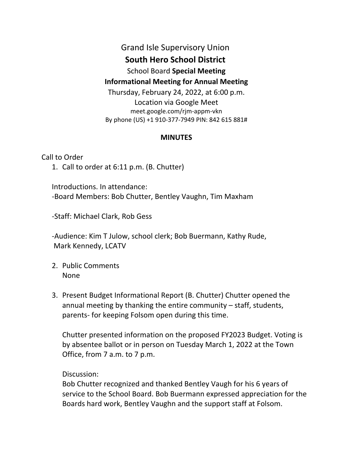## Grand Isle Supervisory Union **South Hero School District**  School Board **Special Meeting Informational Meeting for Annual Meeting**  Thursday, February 24, 2022, at 6:00 p.m. Location via Google Meet meet.google.com/rjm-appm-vkn By phone (US) +1 910-377-7949 PIN: 842 615 881#

## **MINUTES**

Call to Order

1. Call to order at 6:11 p.m. (B. Chutter)

Introductions. In attendance: -Board Members: Bob Chutter, Bentley Vaughn, Tim Maxham

-Staff: Michael Clark, Rob Gess

-Audience: Kim T Julow, school clerk; Bob Buermann, Kathy Rude, Mark Kennedy, LCATV

- 2. Public Comments None
- 3. Present Budget Informational Report (B. Chutter) Chutter opened the annual meeting by thanking the entire community – staff, students, parents- for keeping Folsom open during this time.

Chutter presented information on the proposed FY2023 Budget. Voting is by absentee ballot or in person on Tuesday March 1, 2022 at the Town Office, from 7 a.m. to 7 p.m.

Discussion:

Bob Chutter recognized and thanked Bentley Vaugh for his 6 years of service to the School Board. Bob Buermann expressed appreciation for the Boards hard work, Bentley Vaughn and the support staff at Folsom.